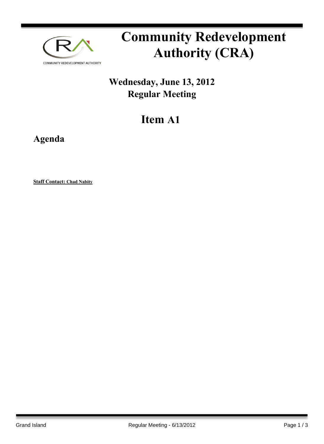

# **Community Redevelopment Authority (CRA)**

## **Wednesday, June 13, 2012 Regular Meeting**

## **Item A1**

**Agenda**

**Staff Contact: Chad Nabity**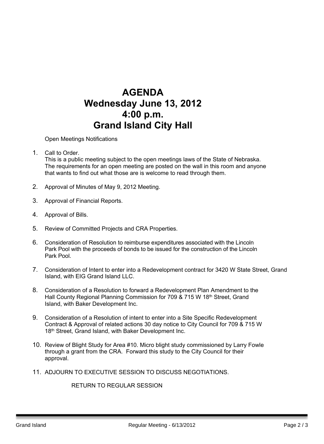### **AGENDA Wednesday June 13, 2012 4:00 p.m. Grand Island City Hall**

Open Meetings Notifications

1. Call to Order. Barry Sandstrom Call to Order.

This is a public meeting subject to the open meetings laws of the State of Nebraska. The requirements for an open meeting are posted on the wall in this room and anyone that wants to find out what those are is welcome to read through them.

- 2. Approval of Minutes of May 9, 2012 Meeting.
- 3. Approval of Financial Reports.
- 4. Approval of Bills.
- 5. Review of Committed Projects and CRA Properties.
- 6. Consideration of Resolution to reimburse expenditures associated with the Lincoln Park Pool with the proceeds of bonds to be issued for the construction of the Lincoln Park Pool.
- 7. Consideration of Intent to enter into a Redevelopment contract for 3420 W State Street, Grand Island, with EIG Grand Island LLC.
- 8. Consideration of a Resolution to forward a Redevelopment Plan Amendment to the Hall County Regional Planning Commission for 709 & 715 W 18<sup>th</sup> Street, Grand Island, with Baker Development Inc.
- 9. Consideration of a Resolution of intent to enter into a Site Specific Redevelopment Contract & Approval of related actions 30 day notice to City Council for 709 & 715 W 18<sup>th</sup> Street, Grand Island, with Baker Development Inc.
- 10. Review of Blight Study for Area #10. Micro blight study commissioned by Larry Fowle through a grant from the CRA. Forward this study to the City Council for their approval.
- 11. ADJOURN TO EXECUTIVE SESSION TO DISCUSS NEGOTIATIONS.

RETURN TO REGULAR SESSION